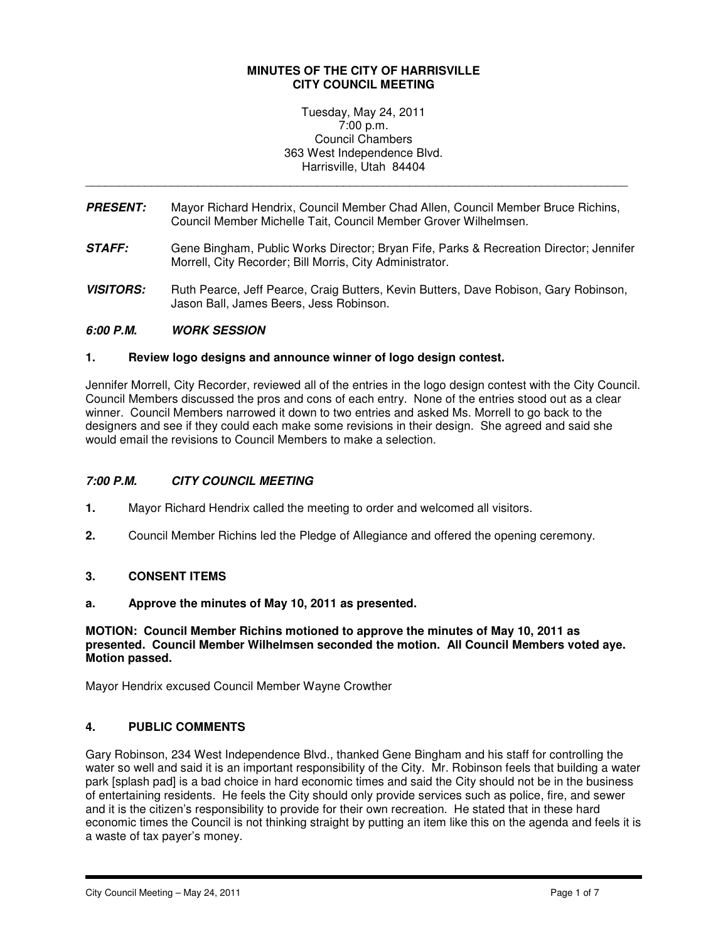## **MINUTES OF THE CITY OF HARRISVILLE CITY COUNCIL MEETING**

Tuesday, May 24, 2011 7:00 p.m. Council Chambers 363 West Independence Blvd. Harrisville, Utah 84404

**PRESENT:** Mayor Richard Hendrix, Council Member Chad Allen, Council Member Bruce Richins, Council Member Michelle Tait, Council Member Grover Wilhelmsen.

\_\_\_\_\_\_\_\_\_\_\_\_\_\_\_\_\_\_\_\_\_\_\_\_\_\_\_\_\_\_\_\_\_\_\_\_\_\_\_\_\_\_\_\_\_\_\_\_\_\_\_\_\_\_\_\_\_\_\_\_\_\_\_\_\_\_\_\_\_\_\_\_\_\_\_\_\_\_\_\_\_\_

- **STAFF:** Gene Bingham, Public Works Director; Bryan Fife, Parks & Recreation Director; Jennifer Morrell, City Recorder; Bill Morris, City Administrator.
- **VISITORS:** Ruth Pearce, Jeff Pearce, Craig Butters, Kevin Butters, Dave Robison, Gary Robinson, Jason Ball, James Beers, Jess Robinson.

# **6:00 P.M. WORK SESSION**

## **1. Review logo designs and announce winner of logo design contest.**

Jennifer Morrell, City Recorder, reviewed all of the entries in the logo design contest with the City Council. Council Members discussed the pros and cons of each entry. None of the entries stood out as a clear winner. Council Members narrowed it down to two entries and asked Ms. Morrell to go back to the designers and see if they could each make some revisions in their design. She agreed and said she would email the revisions to Council Members to make a selection.

## **7:00 P.M. CITY COUNCIL MEETING**

- **1.** Mayor Richard Hendrix called the meeting to order and welcomed all visitors.
- **2.** Council Member Richins led the Pledge of Allegiance and offered the opening ceremony.

## **3. CONSENT ITEMS**

## **a. Approve the minutes of May 10, 2011 as presented.**

**MOTION: Council Member Richins motioned to approve the minutes of May 10, 2011 as presented. Council Member Wilhelmsen seconded the motion. All Council Members voted aye. Motion passed.** 

Mayor Hendrix excused Council Member Wayne Crowther

# **4. PUBLIC COMMENTS**

Gary Robinson, 234 West Independence Blvd., thanked Gene Bingham and his staff for controlling the water so well and said it is an important responsibility of the City. Mr. Robinson feels that building a water park [splash pad] is a bad choice in hard economic times and said the City should not be in the business of entertaining residents. He feels the City should only provide services such as police, fire, and sewer and it is the citizen's responsibility to provide for their own recreation. He stated that in these hard economic times the Council is not thinking straight by putting an item like this on the agenda and feels it is a waste of tax payer's money.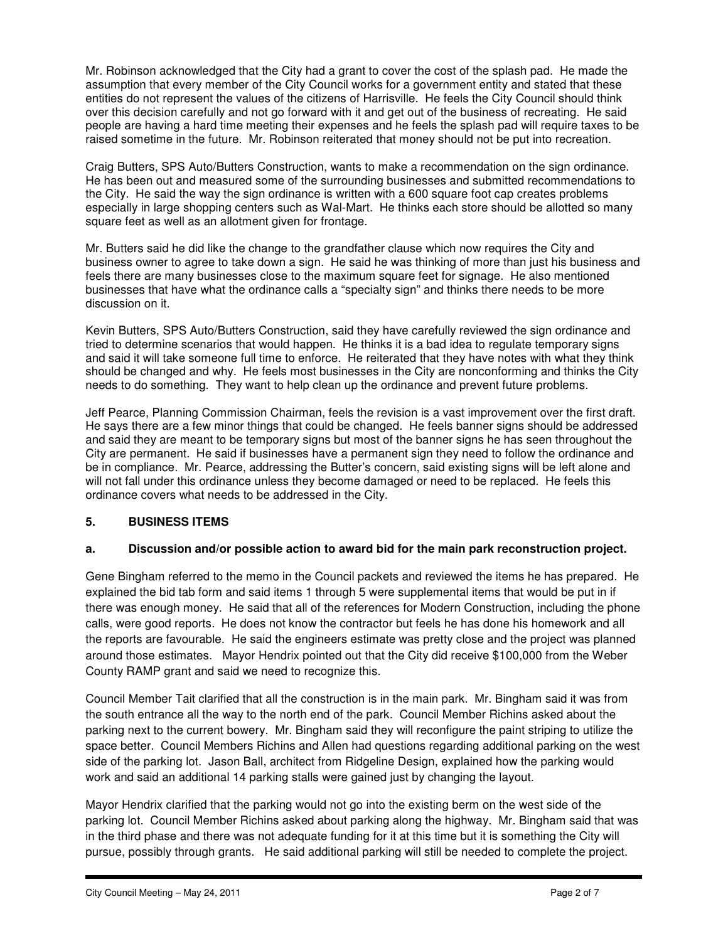Mr. Robinson acknowledged that the City had a grant to cover the cost of the splash pad. He made the assumption that every member of the City Council works for a government entity and stated that these entities do not represent the values of the citizens of Harrisville. He feels the City Council should think over this decision carefully and not go forward with it and get out of the business of recreating. He said people are having a hard time meeting their expenses and he feels the splash pad will require taxes to be raised sometime in the future. Mr. Robinson reiterated that money should not be put into recreation.

Craig Butters, SPS Auto/Butters Construction, wants to make a recommendation on the sign ordinance. He has been out and measured some of the surrounding businesses and submitted recommendations to the City. He said the way the sign ordinance is written with a 600 square foot cap creates problems especially in large shopping centers such as Wal-Mart. He thinks each store should be allotted so many square feet as well as an allotment given for frontage.

Mr. Butters said he did like the change to the grandfather clause which now requires the City and business owner to agree to take down a sign. He said he was thinking of more than just his business and feels there are many businesses close to the maximum square feet for signage. He also mentioned businesses that have what the ordinance calls a "specialty sign" and thinks there needs to be more discussion on it.

Kevin Butters, SPS Auto/Butters Construction, said they have carefully reviewed the sign ordinance and tried to determine scenarios that would happen. He thinks it is a bad idea to regulate temporary signs and said it will take someone full time to enforce. He reiterated that they have notes with what they think should be changed and why. He feels most businesses in the City are nonconforming and thinks the City needs to do something. They want to help clean up the ordinance and prevent future problems.

Jeff Pearce, Planning Commission Chairman, feels the revision is a vast improvement over the first draft. He says there are a few minor things that could be changed. He feels banner signs should be addressed and said they are meant to be temporary signs but most of the banner signs he has seen throughout the City are permanent. He said if businesses have a permanent sign they need to follow the ordinance and be in compliance. Mr. Pearce, addressing the Butter's concern, said existing signs will be left alone and will not fall under this ordinance unless they become damaged or need to be replaced. He feels this ordinance covers what needs to be addressed in the City.

# **5. BUSINESS ITEMS**

# **a. Discussion and/or possible action to award bid for the main park reconstruction project.**

Gene Bingham referred to the memo in the Council packets and reviewed the items he has prepared. He explained the bid tab form and said items 1 through 5 were supplemental items that would be put in if there was enough money. He said that all of the references for Modern Construction, including the phone calls, were good reports. He does not know the contractor but feels he has done his homework and all the reports are favourable. He said the engineers estimate was pretty close and the project was planned around those estimates. Mayor Hendrix pointed out that the City did receive \$100,000 from the Weber County RAMP grant and said we need to recognize this.

Council Member Tait clarified that all the construction is in the main park. Mr. Bingham said it was from the south entrance all the way to the north end of the park. Council Member Richins asked about the parking next to the current bowery. Mr. Bingham said they will reconfigure the paint striping to utilize the space better. Council Members Richins and Allen had questions regarding additional parking on the west side of the parking lot. Jason Ball, architect from Ridgeline Design, explained how the parking would work and said an additional 14 parking stalls were gained just by changing the layout.

Mayor Hendrix clarified that the parking would not go into the existing berm on the west side of the parking lot. Council Member Richins asked about parking along the highway. Mr. Bingham said that was in the third phase and there was not adequate funding for it at this time but it is something the City will pursue, possibly through grants. He said additional parking will still be needed to complete the project.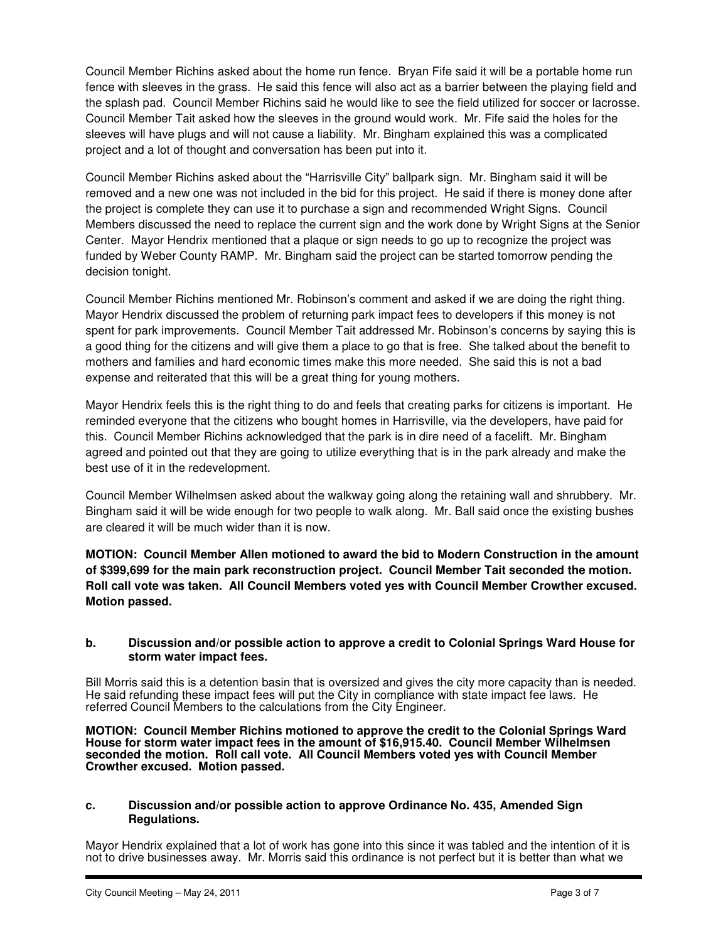Council Member Richins asked about the home run fence. Bryan Fife said it will be a portable home run fence with sleeves in the grass. He said this fence will also act as a barrier between the playing field and the splash pad. Council Member Richins said he would like to see the field utilized for soccer or lacrosse. Council Member Tait asked how the sleeves in the ground would work. Mr. Fife said the holes for the sleeves will have plugs and will not cause a liability. Mr. Bingham explained this was a complicated project and a lot of thought and conversation has been put into it.

Council Member Richins asked about the "Harrisville City" ballpark sign. Mr. Bingham said it will be removed and a new one was not included in the bid for this project. He said if there is money done after the project is complete they can use it to purchase a sign and recommended Wright Signs. Council Members discussed the need to replace the current sign and the work done by Wright Signs at the Senior Center. Mayor Hendrix mentioned that a plaque or sign needs to go up to recognize the project was funded by Weber County RAMP. Mr. Bingham said the project can be started tomorrow pending the decision tonight.

Council Member Richins mentioned Mr. Robinson's comment and asked if we are doing the right thing. Mayor Hendrix discussed the problem of returning park impact fees to developers if this money is not spent for park improvements. Council Member Tait addressed Mr. Robinson's concerns by saying this is a good thing for the citizens and will give them a place to go that is free. She talked about the benefit to mothers and families and hard economic times make this more needed. She said this is not a bad expense and reiterated that this will be a great thing for young mothers.

Mayor Hendrix feels this is the right thing to do and feels that creating parks for citizens is important. He reminded everyone that the citizens who bought homes in Harrisville, via the developers, have paid for this. Council Member Richins acknowledged that the park is in dire need of a facelift. Mr. Bingham agreed and pointed out that they are going to utilize everything that is in the park already and make the best use of it in the redevelopment.

Council Member Wilhelmsen asked about the walkway going along the retaining wall and shrubbery. Mr. Bingham said it will be wide enough for two people to walk along. Mr. Ball said once the existing bushes are cleared it will be much wider than it is now.

**MOTION: Council Member Allen motioned to award the bid to Modern Construction in the amount of \$399,699 for the main park reconstruction project. Council Member Tait seconded the motion. Roll call vote was taken. All Council Members voted yes with Council Member Crowther excused. Motion passed.** 

# **b. Discussion and/or possible action to approve a credit to Colonial Springs Ward House for storm water impact fees.**

Bill Morris said this is a detention basin that is oversized and gives the city more capacity than is needed. He said refunding these impact fees will put the City in compliance with state impact fee laws. He referred Council Members to the calculations from the City Engineer.

**MOTION: Council Member Richins motioned to approve the credit to the Colonial Springs Ward House for storm water impact fees in the amount of \$16,915.40. Council Member Wilhelmsen seconded the motion. Roll call vote. All Council Members voted yes with Council Member Crowther excused. Motion passed.** 

## **c. Discussion and/or possible action to approve Ordinance No. 435, Amended Sign Regulations.**

Mayor Hendrix explained that a lot of work has gone into this since it was tabled and the intention of it is not to drive businesses away. Mr. Morris said this ordinance is not perfect but it is better than what we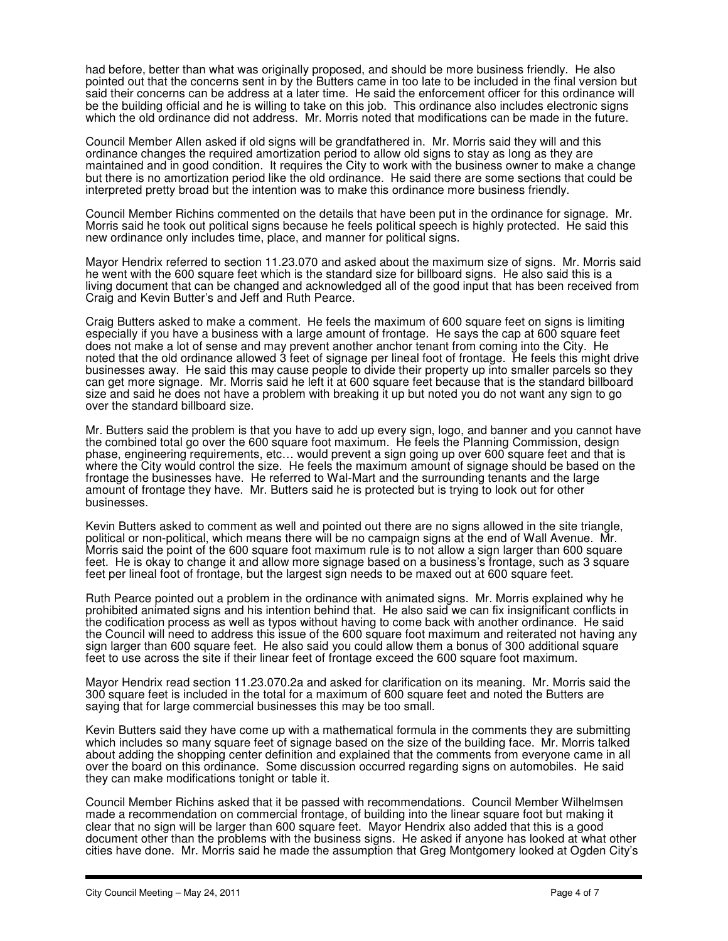had before, better than what was originally proposed, and should be more business friendly. He also pointed out that the concerns sent in by the Butters came in too late to be included in the final version but said their concerns can be address at a later time. He said the enforcement officer for this ordinance will be the building official and he is willing to take on this job. This ordinance also includes electronic signs which the old ordinance did not address. Mr. Morris noted that modifications can be made in the future.

Council Member Allen asked if old signs will be grandfathered in. Mr. Morris said they will and this ordinance changes the required amortization period to allow old signs to stay as long as they are maintained and in good condition. It requires the City to work with the business owner to make a change but there is no amortization period like the old ordinance. He said there are some sections that could be interpreted pretty broad but the intention was to make this ordinance more business friendly.

Council Member Richins commented on the details that have been put in the ordinance for signage. Mr. Morris said he took out political signs because he feels political speech is highly protected. He said this new ordinance only includes time, place, and manner for political signs.

Mayor Hendrix referred to section 11.23.070 and asked about the maximum size of signs. Mr. Morris said he went with the 600 square feet which is the standard size for billboard signs. He also said this is a living document that can be changed and acknowledged all of the good input that has been received from Craig and Kevin Butter's and Jeff and Ruth Pearce.

Craig Butters asked to make a comment. He feels the maximum of 600 square feet on signs is limiting especially if you have a business with a large amount of frontage. He says the cap at 600 square feet does not make a lot of sense and may prevent another anchor tenant from coming into the City. He noted that the old ordinance allowed 3 feet of signage per lineal foot of frontage. He feels this might drive businesses away. He said this may cause people to divide their property up into smaller parcels so they can get more signage. Mr. Morris said he left it at 600 square feet because that is the standard billboard size and said he does not have a problem with breaking it up but noted you do not want any sign to go over the standard billboard size.

Mr. Butters said the problem is that you have to add up every sign, logo, and banner and you cannot have the combined total go over the 600 square foot maximum. He feels the Planning Commission, design phase, engineering requirements, etc… would prevent a sign going up over 600 square feet and that is where the City would control the size. He feels the maximum amount of signage should be based on the frontage the businesses have. He referred to Wal-Mart and the surrounding tenants and the large amount of frontage they have. Mr. Butters said he is protected but is trying to look out for other businesses.

Kevin Butters asked to comment as well and pointed out there are no signs allowed in the site triangle, political or non-political, which means there will be no campaign signs at the end of Wall Avenue. Mr. Morris said the point of the 600 square foot maximum rule is to not allow a sign larger than 600 square feet. He is okay to change it and allow more signage based on a business's frontage, such as 3 square feet per lineal foot of frontage, but the largest sign needs to be maxed out at 600 square feet.

Ruth Pearce pointed out a problem in the ordinance with animated signs. Mr. Morris explained why he prohibited animated signs and his intention behind that. He also said we can fix insignificant conflicts in the codification process as well as typos without having to come back with another ordinance. He said the Council will need to address this issue of the 600 square foot maximum and reiterated not having any sign larger than 600 square feet. He also said you could allow them a bonus of 300 additional square feet to use across the site if their linear feet of frontage exceed the 600 square foot maximum.

Mayor Hendrix read section 11.23.070.2a and asked for clarification on its meaning. Mr. Morris said the 300 square feet is included in the total for a maximum of 600 square feet and noted the Butters are saying that for large commercial businesses this may be too small.

Kevin Butters said they have come up with a mathematical formula in the comments they are submitting which includes so many square feet of signage based on the size of the building face. Mr. Morris talked about adding the shopping center definition and explained that the comments from everyone came in all over the board on this ordinance. Some discussion occurred regarding signs on automobiles. He said they can make modifications tonight or table it.

Council Member Richins asked that it be passed with recommendations. Council Member Wilhelmsen made a recommendation on commercial frontage, of building into the linear square foot but making it clear that no sign will be larger than 600 square feet. Mayor Hendrix also added that this is a good document other than the problems with the business signs. He asked if anyone has looked at what other cities have done. Mr. Morris said he made the assumption that Greg Montgomery looked at Ogden City's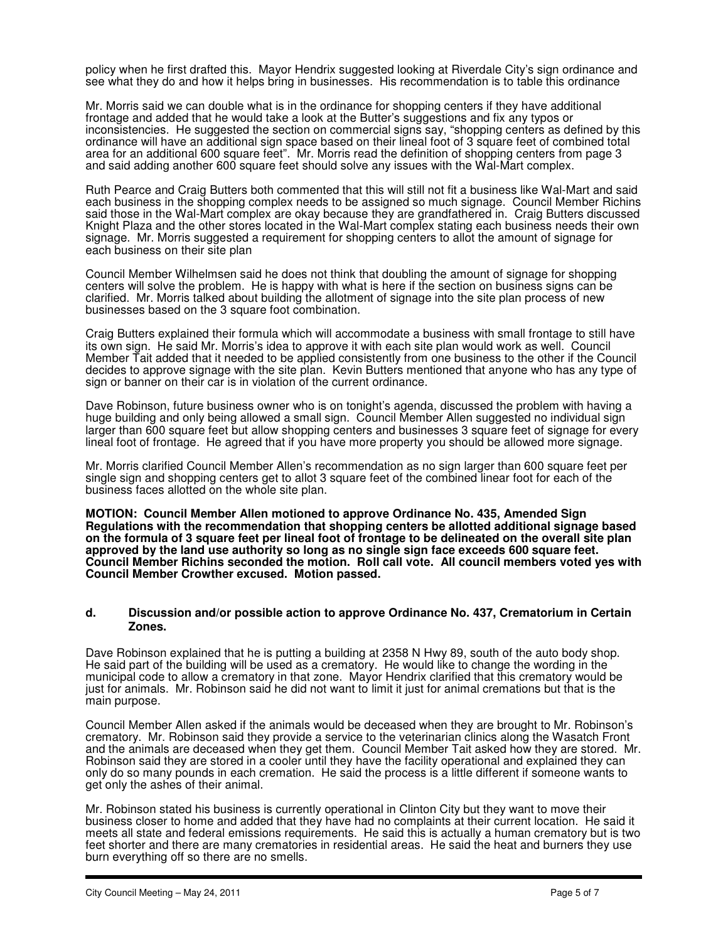policy when he first drafted this. Mayor Hendrix suggested looking at Riverdale City's sign ordinance and see what they do and how it helps bring in businesses. His recommendation is to table this ordinance

Mr. Morris said we can double what is in the ordinance for shopping centers if they have additional frontage and added that he would take a look at the Butter's suggestions and fix any typos or inconsistencies. He suggested the section on commercial signs say, "shopping centers as defined by this ordinance will have an additional sign space based on their lineal foot of 3 square feet of combined total area for an additional 600 square feet". Mr. Morris read the definition of shopping centers from page 3 and said adding another 600 square feet should solve any issues with the Wal-Mart complex.

Ruth Pearce and Craig Butters both commented that this will still not fit a business like Wal-Mart and said each business in the shopping complex needs to be assigned so much signage. Council Member Richins said those in the Wal-Mart complex are okay because they are grandfathered in. Craig Butters discussed Knight Plaza and the other stores located in the Wal-Mart complex stating each business needs their own signage. Mr. Morris suggested a requirement for shopping centers to allot the amount of signage for each business on their site plan

Council Member Wilhelmsen said he does not think that doubling the amount of signage for shopping centers will solve the problem. He is happy with what is here if the section on business signs can be clarified. Mr. Morris talked about building the allotment of signage into the site plan process of new businesses based on the 3 square foot combination.

Craig Butters explained their formula which will accommodate a business with small frontage to still have its own sign. He said Mr. Morris's idea to approve it with each site plan would work as well. Council Member Tait added that it needed to be applied consistently from one business to the other if the Council decides to approve signage with the site plan. Kevin Butters mentioned that anyone who has any type of sign or banner on their car is in violation of the current ordinance.

Dave Robinson, future business owner who is on tonight's agenda, discussed the problem with having a huge building and only being allowed a small sign. Council Member Allen suggested no individual sign larger than 600 square feet but allow shopping centers and businesses 3 square feet of signage for every lineal foot of frontage. He agreed that if you have more property you should be allowed more signage.

Mr. Morris clarified Council Member Allen's recommendation as no sign larger than 600 square feet per single sign and shopping centers get to allot 3 square feet of the combined linear foot for each of the business faces allotted on the whole site plan.

**MOTION: Council Member Allen motioned to approve Ordinance No. 435, Amended Sign Regulations with the recommendation that shopping centers be allotted additional signage based on the formula of 3 square feet per lineal foot of frontage to be delineated on the overall site plan approved by the land use authority so long as no single sign face exceeds 600 square feet. Council Member Richins seconded the motion. Roll call vote. All council members voted yes with Council Member Crowther excused. Motion passed.** 

#### **d. Discussion and/or possible action to approve Ordinance No. 437, Crematorium in Certain Zones.**

Dave Robinson explained that he is putting a building at 2358 N Hwy 89, south of the auto body shop. He said part of the building will be used as a crematory. He would like to change the wording in the municipal code to allow a crematory in that zone. Mayor Hendrix clarified that this crematory would be just for animals. Mr. Robinson said he did not want to limit it just for animal cremations but that is the main purpose.

Council Member Allen asked if the animals would be deceased when they are brought to Mr. Robinson's crematory. Mr. Robinson said they provide a service to the veterinarian clinics along the Wasatch Front and the animals are deceased when they get them. Council Member Tait asked how they are stored. Mr. Robinson said they are stored in a cooler until they have the facility operational and explained they can only do so many pounds in each cremation. He said the process is a little different if someone wants to get only the ashes of their animal.

Mr. Robinson stated his business is currently operational in Clinton City but they want to move their business closer to home and added that they have had no complaints at their current location. He said it meets all state and federal emissions requirements. He said this is actually a human crematory but is two feet shorter and there are many crematories in residential areas. He said the heat and burners they use burn everything off so there are no smells.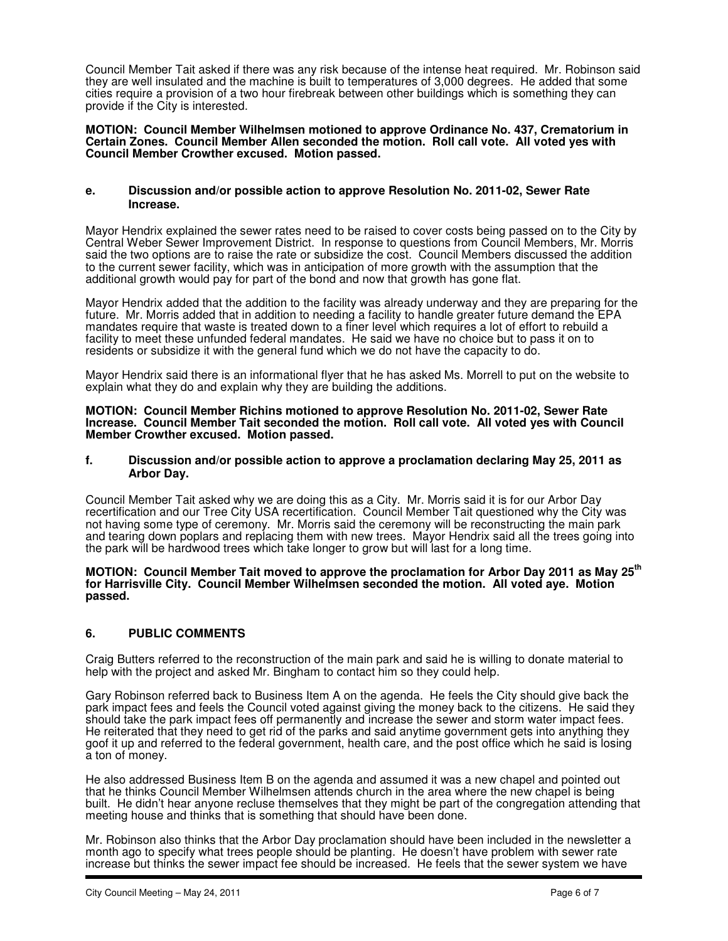Council Member Tait asked if there was any risk because of the intense heat required. Mr. Robinson said they are well insulated and the machine is built to temperatures of 3,000 degrees. He added that some cities require a provision of a two hour firebreak between other buildings which is something they can provide if the City is interested.

**MOTION: Council Member Wilhelmsen motioned to approve Ordinance No. 437, Crematorium in Certain Zones. Council Member Allen seconded the motion. Roll call vote. All voted yes with Council Member Crowther excused. Motion passed.** 

#### **e. Discussion and/or possible action to approve Resolution No. 2011-02, Sewer Rate Increase.**

Mayor Hendrix explained the sewer rates need to be raised to cover costs being passed on to the City by Central Weber Sewer Improvement District. In response to questions from Council Members, Mr. Morris said the two options are to raise the rate or subsidize the cost. Council Members discussed the addition to the current sewer facility, which was in anticipation of more growth with the assumption that the additional growth would pay for part of the bond and now that growth has gone flat.

Mayor Hendrix added that the addition to the facility was already underway and they are preparing for the future. Mr. Morris added that in addition to needing a facility to handle greater future demand the EPA mandates require that waste is treated down to a finer level which requires a lot of effort to rebuild a facility to meet these unfunded federal mandates. He said we have no choice but to pass it on to residents or subsidize it with the general fund which we do not have the capacity to do.

Mayor Hendrix said there is an informational flyer that he has asked Ms. Morrell to put on the website to explain what they do and explain why they are building the additions.

**MOTION: Council Member Richins motioned to approve Resolution No. 2011-02, Sewer Rate Increase. Council Member Tait seconded the motion. Roll call vote. All voted yes with Council Member Crowther excused. Motion passed.** 

#### **f. Discussion and/or possible action to approve a proclamation declaring May 25, 2011 as Arbor Day.**

Council Member Tait asked why we are doing this as a City. Mr. Morris said it is for our Arbor Day recertification and our Tree City USA recertification. Council Member Tait questioned why the City was not having some type of ceremony. Mr. Morris said the ceremony will be reconstructing the main park and tearing down poplars and replacing them with new trees. Mayor Hendrix said all the trees going into the park will be hardwood trees which take longer to grow but will last for a long time.

#### **MOTION: Council Member Tait moved to approve the proclamation for Arbor Day 2011 as May 25th for Harrisville City. Council Member Wilhelmsen seconded the motion. All voted aye. Motion passed.**

# **6. PUBLIC COMMENTS**

Craig Butters referred to the reconstruction of the main park and said he is willing to donate material to help with the project and asked Mr. Bingham to contact him so they could help.

Gary Robinson referred back to Business Item A on the agenda. He feels the City should give back the park impact fees and feels the Council voted against giving the money back to the citizens. He said they should take the park impact fees off permanently and increase the sewer and storm water impact fees. He reiterated that they need to get rid of the parks and said anytime government gets into anything they goof it up and referred to the federal government, health care, and the post office which he said is losing a ton of money.

He also addressed Business Item B on the agenda and assumed it was a new chapel and pointed out that he thinks Council Member Wilhelmsen attends church in the area where the new chapel is being built. He didn't hear anyone recluse themselves that they might be part of the congregation attending that meeting house and thinks that is something that should have been done.

Mr. Robinson also thinks that the Arbor Day proclamation should have been included in the newsletter a month ago to specify what trees people should be planting. He doesn't have problem with sewer rate increase but thinks the sewer impact fee should be increased. He feels that the sewer system we have